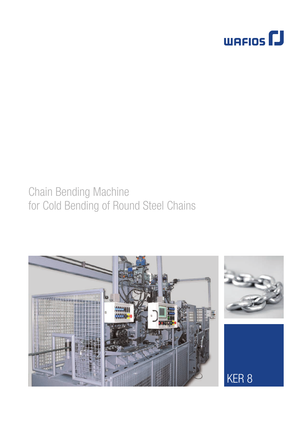

# Chain Bending Machine for Cold Bending of Round Steel Chains

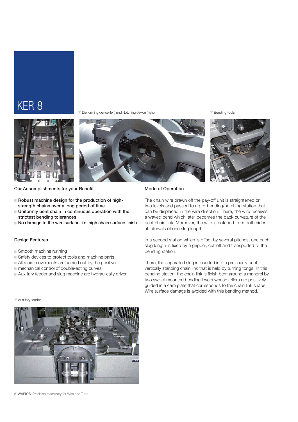### KER 8

T Die forming device (left) und Notching device (right)

 $\overline{\mathbf{v}}$  Bending tools







Our Accomplishments for your Benefit

- $\blacksquare$  Robust machine design for the production of highstrength chains over a long period of time
- $\blacksquare$  Uniformly bent chain in continuous operation with the strictest bending tolerances
- No damage to the wire surface, i.e. high chain surface finish

### Design Features

- $\Box$  Smooth machine running
- Safety devices to protect tools and machine parts
- $\blacksquare$  All main movements are carried out by the positive
- $\blacksquare$  mechanical control of double-acting curves
- $\blacksquare$  Auxiliary feeder and slug machine are hydraulically driven

### Mode of Operation

The chain wire drawn off the pay-off unit is straightened on two levels and passed to a pre-bending/notching station that can be displaced in the wire direction. There, the wire receives a waved bend which later becomes the back curvature of the bent chain link. Moreover, the wire is notched from both sides at intervals of one slug length.

In a second station which is offset by several pitches, one each slug length is fixed by a gripper, cut-off and transported to the bending station.

There, the separated slug is inserted into a previously bent, vertically standing chain link that is held by turning tongs. In this bending station, the chain link is finish bent around a mandrel by two swivel-mounted bending levers whose rollers are positively guided in a cam plate that corresponds to the chain link shape. Wire surface damage is avoided with this bending method.

### **V** Auxiliary feeder



2 WAFIOS Precision Machinery for Wire and Tube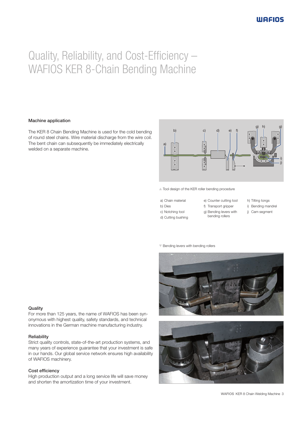## Quality, Reliability, and Cost-Efficiency – WAFIOS KER 8-Chain Bending Machine

### Machine application

The KER 8 Chain Bending Machine is used for the cold bending of round steel chains. Wire material discharge from the wire coil. The bent chain can subsequently be immediately electrically welded on a separate machine.



 $\triangle$  Tool design of the KER roller bending procedure

a) Chain material b) Dies

c) Notching tool d) Cutting bushing

- e) Counter cutting tool f) Transport gripper
	- g) Bending levers with
		- bending rollers
- h) Tilting tongs
- i) Bending mandrel
- j) Cam segment

 $\nabla$  Bending levers with bending rollers





#### **Quality**

For more than 125 years, the name of WAFIOS has been synonymous with highest quality, safety standards, and technical innovations in the German machine manufacturing industry.

### Reliability

Strict quality controls, state-of-the-art production systems, and many years of experience guarantee that your investment is safe in our hands. Our global service network ensures high availability of WAFIOS machinery.

### Cost efficiency

High production output and a long service life will save money and shorten the amortization time of your investment.